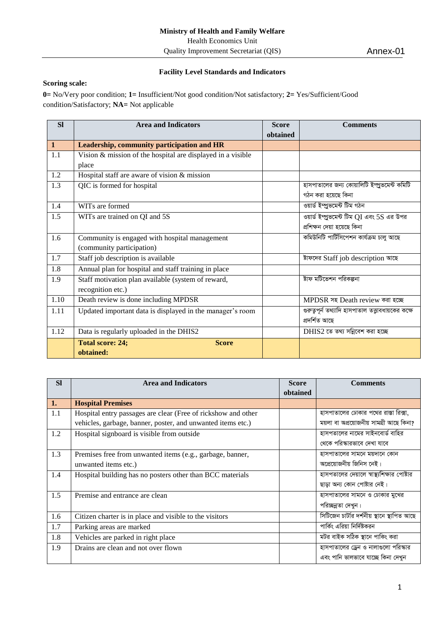## **Facility Level Standards and Indicators**

## **Scoring scale:**

**0=** No/Very poor condition; **1=** Insufficient/Not good condition/Not satisfactory; **2=** Yes/Sufficient/Good condition/Satisfactory; **NA=** Not applicable

| <b>Sl</b>    | <b>Area and Indicators</b>                                  | <b>Score</b> | <b>Comments</b>                                     |
|--------------|-------------------------------------------------------------|--------------|-----------------------------------------------------|
|              |                                                             | obtained     |                                                     |
| $\mathbf{1}$ | Leadership, community participation and HR                  |              |                                                     |
| 1.1          | Vision & mission of the hospital are displayed in a visible |              |                                                     |
|              | place                                                       |              |                                                     |
| 1.2          | Hospital staff are aware of vision & mission                |              |                                                     |
| 1.3          | QIC is formed for hospital                                  |              | হাসপাতালের জন্য কোয়ালিটি ইম্প্রুভমেন্ট কমিটি       |
|              |                                                             |              | গঠন করা হয়েছে কিনা                                 |
| 1.4          | WITs are formed                                             |              | ওয়ার্ড ইম্প্রুভমেন্ট টিম গঠন                       |
| 1.5          | WITs are trained on QI and 5S                               |              | ওয়ার্ড ইম্প্রুভমেন্ট টিম QI এবং 5S এর উপর          |
|              |                                                             |              | প্ৰশিক্ষন দেয়া হয়েছে কিনা                         |
| 1.6          | Community is engaged with hospital management               |              | কমিউনিটি পার্টিসিপেশন কার্যক্রম চালু আছে            |
|              | (community participation)                                   |              |                                                     |
| 1.7          | Staff job description is available                          |              | ষ্টাফদের Staff job description আছে                  |
| 1.8          | Annual plan for hospital and staff training in place        |              |                                                     |
| 1.9          | Staff motivation plan available (system of reward,          |              | ষ্টাফ মটিভেশন পরিকল্পনা                             |
|              | recognition etc.)                                           |              |                                                     |
| 1.10         | Death review is done including MPDSR                        |              | MPDSR সহ Death review করা হচ্ছে                     |
| 1.11         | Updated important data is displayed in the manager's room   |              | গুরুত্বপূর্ন তথ্যাদি হাসপাতাল তত্ত্বাবধায়কের কক্ষে |
|              |                                                             |              | প্ৰদৰ্শিত আছে                                       |
| 1.12         | Data is regularly uploaded in the DHIS2                     |              | DHIS2 তে তথ্য সন্নিবেশ করা হচ্ছে                    |
|              | <b>Total score: 24;</b><br><b>Score</b>                     |              |                                                     |
|              | obtained:                                                   |              |                                                     |

| <b>SI</b> | <b>Area and Indicators</b>                                    | <b>Score</b> | <b>Comments</b>                             |
|-----------|---------------------------------------------------------------|--------------|---------------------------------------------|
|           |                                                               | obtained     |                                             |
| 1.        | <b>Hospital Premises</b>                                      |              |                                             |
| 1.1       | Hospital entry passages are clear (Free of rickshow and other |              | হাসপাতালের ঢোকার পথের রাস্তা রিক্সা,        |
|           | vehicles, garbage, banner, poster, and unwanted items etc.)   |              | ময়লা বা অপ্রয়োজনীয় সামগ্রী আছে কিনা?     |
| 1.2       | Hospital signboard is visible from outside                    |              | হাসপতালের নামের সাইনবোর্ড বাহির             |
|           |                                                               |              | থেকে পরিস্কারভাবে দেখা যাবে                 |
| 1.3       | Premises free from unwanted items (e.g., garbage, banner,     |              | হাসপাতালের সামনে ময়দানে কোন                |
|           | unwanted items etc.)                                          |              | অপ্রেয়োজনীয় জিনিস নেই।                    |
| 1.4       | Hospital building has no posters other than BCC materials     |              | হাসপতালের দেয়ালে স্বাস্থ্যশিক্ষার পোষ্টার  |
|           |                                                               |              | ছাড়া অন্য কোন পোষ্টার নেই।                 |
| 1.5       | Premise and entrance are clean                                |              | হাসপাতালের সামনে ও ঢোকার মুখের              |
|           |                                                               |              | পরিচ্ছন্নতা দেখুন।                          |
| 1.6       | Citizen charter is in place and visible to the visitors       |              | সিটিজেন চার্টার দর্শনীয় স্থানে স্থাপিত আছে |
| 1.7       | Parking areas are marked                                      |              | পার্কিং এরিয়া নির্দিষ্টকরন                 |
| 1.8       | Vehicles are parked in right place                            |              | মটর বাইক সঠিক স্থানে পাকিং করা              |
| 1.9       | Drains are clean and not over flown                           |              | হাসপাতালের ড্রেন ও নালাগুলো পরিস্কার        |
|           |                                                               |              | এবং পানি ভালভাবে যাচ্ছে কিনা দেখুন          |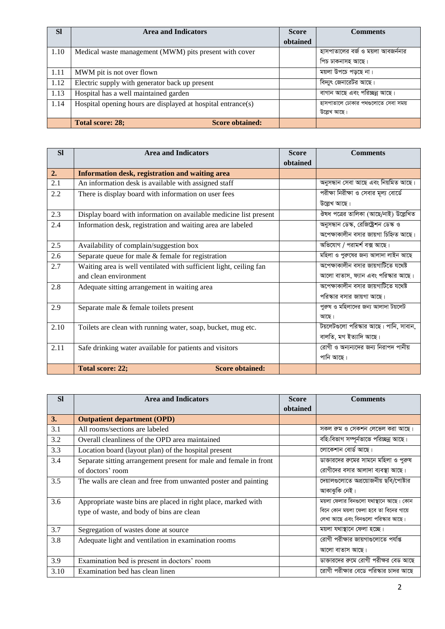| <b>SI</b> | <b>Area and Indicators</b>                                   | <b>Score</b> | <b>Comments</b>                    |
|-----------|--------------------------------------------------------------|--------------|------------------------------------|
|           |                                                              | obtained     |                                    |
| 1.10      | Medical waste management (MWM) pits present with cover       |              | হাসপাতালের বর্জ ও ময়লা আবজর্ননার  |
|           |                                                              |              | পিচ ঢাকনাসহ আছে।                   |
| 1.11      | MWM pit is not over flown                                    |              | ময়লা উপচে পড়ছে না।               |
| 1.12      | Electric supply with generator back up present               |              | বিদ্যুৎ জেনারেটর আছে।              |
| 1.13      | Hospital has a well maintained garden                        |              | বাগান আছে এবং পরিচ্ছন্ন আছে।       |
| 1.14      | Hospital opening hours are displayed at hospital entrance(s) |              | হাসপাতালে ঢোকার পথগুলোতে সেবা সময় |
|           |                                                              |              | উল্লেখ আছে।                        |
|           | Total score: 28;<br><b>Score obtained:</b>                   |              |                                    |

| <b>SI</b> | <b>Area and Indicators</b>                                         | <b>Score</b> | <b>Comments</b>                       |
|-----------|--------------------------------------------------------------------|--------------|---------------------------------------|
|           |                                                                    | obtained     |                                       |
| 2.        | Information desk, registration and waiting area                    |              |                                       |
| 2.1       | An information desk is available with assigned staff               |              | অনুসন্ধান সেবা আছে এবং নিয়মিত আছে।   |
| 2.2       | There is display board with information on user fees               |              | পরীক্ষা নিরীক্ষা ও সেবার মূল্য বোর্ডে |
|           |                                                                    |              | উল্লেখ আছে।                           |
| 2.3       | Display board with information on available medicine list present  |              | ঔষধ পত্রের তালিকা (আছে/নাই) উল্লেখিত  |
| 2.4       | Information desk, registration and waiting area are labeled        |              | অনুসন্ধান ডেস্ক, রেজিষ্ট্রেশন ডেস্ক ও |
|           |                                                                    |              | অপেক্ষাকালীন বসার জায়গা চিহ্নিত আছে। |
| 2.5       | Availability of complain/suggestion box                            |              | অভিযোগ / পরামর্শ বক্স আছে।            |
| 2.6       | Separate queue for male $&$ female for registration                |              | মহিলা ও পুরুষের জন্য আলাদা লাইন আছে   |
| 2.7       | Waiting area is well ventilated with sufficient light, ceiling fan |              | অপেক্ষাকালীন বসার জায়গাটিতে যথেষ্ট   |
|           | and clean environment                                              |              | আলো বাতাস, ফ্যান এবং পরিস্কার আছে।    |
| 2.8       | Adequate sitting arrangement in waiting area                       |              | অপেক্ষাকালীন বসার জায়গাটিতে যথেষ্ট   |
|           |                                                                    |              | পরিস্কার বসার জায়গা আছে।             |
| 2.9       | Separate male & female toilets present                             |              | পুরুষ ও মহিলাদের জন্য আলাদা টয়লেট    |
|           |                                                                    |              | আছে।                                  |
| 2.10      | Toilets are clean with running water, soap, bucket, mug etc.       |              | টয়লেটগুলো পরিস্কার আছে। পানি, সাবান, |
|           |                                                                    |              | বালতি, মগ ইত্যাদি আছে।                |
| 2.11      | Safe drinking water available for patients and visitors            |              | রোগী ও অন্যন্যদের জন্য নিরাপদ পানীয়  |
|           |                                                                    |              | পানি আছে।                             |
|           | <b>Score obtained:</b><br><b>Total score: 22;</b>                  |              |                                       |

| <b>SI</b> | <b>Area and Indicators</b>                                        | <b>Score</b> | <b>Comments</b>                        |
|-----------|-------------------------------------------------------------------|--------------|----------------------------------------|
|           |                                                                   | obtained     |                                        |
| 3.        | <b>Outpatient department (OPD)</b>                                |              |                                        |
| 3.1       | All rooms/sections are labeled                                    |              | সকল রুম ও সেকশন লেভেল করা আছে।         |
| 3.2       | Overall cleanliness of the OPD area maintained                    |              | বহি:বিভাগ সম্পূর্নভাভে পরিচ্ছন্ন আছে।  |
| 3.3       | Location board (layout plan) of the hospital present              |              | লোকেশান বোর্ড আছে।                     |
| 3.4       | Separate sitting arrangement present for male and female in front |              | ডাক্তারদের রুমের সামনে মহিলা ও পুরুষ   |
|           | of doctors' room                                                  |              | রোগীদের বসার আলাদা ব্যবস্থা আছে।       |
| 3.5       | The walls are clean and free from unwanted poster and painting    |              | দেয়ালগুলোতে অপ্রয়োজনীয় ছবি/পোষ্টার  |
|           |                                                                   |              | আকাঝুকি নেই।                           |
| 3.6       | Appropriate waste bins are placed in right place, marked with     |              | ময়লা ফেলার বিনগুলো যথাস্থানে আছে। কোন |
|           | type of waste, and body of bins are clean                         |              | বিনে কোন ময়লা ফেলা হবে তা বিনের গায়ে |
|           |                                                                   |              | লেখা আছে এবং বিনগুলো পরিস্কার আছে।     |
| 3.7       | Segregation of wastes done at source                              |              | ময়লা যথাস্থানে ফেলা হচ্ছে।            |
| 3.8       | Adequate light and ventilation in examination rooms               |              | রোগী পরীক্ষার জায়গাগুলোতে পর্যাপ্ত    |
|           |                                                                   |              | আলো বাতাস আছে।                         |
| 3.9       | Examination bed is present in doctors' room                       |              | ডাক্তারদের রুমে রোগী পরীক্ষর বেড আছে   |
| 3.10      | Examination bed has clean linen                                   |              | রোগী পরীক্ষার বেডে পরিস্কার চাদর আছে   |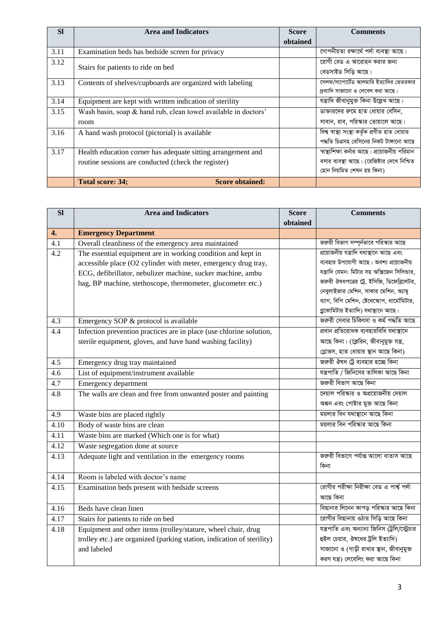| <b>SI</b> | <b>Area and Indicators</b>                                     | <b>Score</b> | <b>Comments</b>                                 |
|-----------|----------------------------------------------------------------|--------------|-------------------------------------------------|
|           |                                                                | obtained     |                                                 |
| 3.11      | Examination beds has bedside screen for privacy                |              | গোপনীয়তা রক্ষার্থে পর্দা ব্যবস্থা আছে।         |
| 3.12      | Stairs for patients to ride on bed                             |              | রোগী বেড এ আরোহন করার জন্য                      |
|           |                                                                |              | বেডসাইড সিড়ি আছে।                              |
| 3.13      | Contents of shelves/cupboards are organized with labeling      |              | সেলফ/সাপোর্টেড আলমারি ইত্যাদির ভেতরকার          |
|           |                                                                |              | দ্রব্যাদি সাজানো ও লেবেল করা আছে।               |
| 3.14      | Equipment are kept with written indication of sterility        |              | যন্ত্ৰাদি জীবানুমুক্ত কিনা উল্লেখ আছে।          |
| 3.15      | Wash basin, soap & hand rub, clean towel available in doctors' |              | ডাক্তারদের রুমে হাত ধোয়ার বেসিন,               |
|           | room                                                           |              | সাবান, রাব, পরিস্কার তোয়ালে আছে।               |
| 3.16      | A hand wash protocol (pictorial) is available                  |              | বিশ্ব স্বাস্থ্য সংস্থা কৰ্তৃক প্ৰণীত হাত ধোয়ার |
|           |                                                                |              | পদ্ধতি চিত্ৰসহ বেসিনের নিকট টাঙ্গানো আছে        |
| 3.17      | Health education corner has adequate sitting arrangement and   |              | স্বাস্থ্যশিক্ষা কর্নার আছে। প্রয়োজনীয় পরিমান  |
|           | routine sessions are conducted (check the register)            |              | বসার ব্যবস্থা আছে। (রেজিষ্টার দেখে নিশ্চিত      |
|           |                                                                |              | হোন নিয়মিত শেষন হয় কিনা)                      |
|           | <b>Score obtained:</b><br>Total score: 34;                     |              |                                                 |

| SI               | <b>Area and Indicators</b>                                             | <b>Score</b> | <b>Comments</b>                                |
|------------------|------------------------------------------------------------------------|--------------|------------------------------------------------|
|                  |                                                                        | obtained     |                                                |
| 4.               | <b>Emergency Department</b>                                            |              |                                                |
| 4.1              | Overall cleanliness of the emergency area maintained                   |              | জরুরী বিভাগ সম্পূর্নভাবে পরিস্কার আছে          |
| 4.2              | The essential equipment are in working condition and kept in           |              | প্ৰয়োজনীয় যন্ত্ৰাদি যথাস্থানে আছে এবং        |
|                  | accessible place (O2 cylinder with meter, emergency drug tray,         |              | ব্যবহার উপযোগী আছে। অবশ্য প্রয়োজনীয়          |
|                  | ECG, defibrillator, nebulizer machine, sucker machine, ambu            |              | যন্ত্রাদি যেমন: মিটার সহ অক্সিজেন সিলিন্ডার,   |
|                  | bag, BP machine, stethoscope, thermometer, glucometer etc.)            |              | জরুরী ঔষধপত্রের ট্রে, ইসিজি, ডিফেব্রিলেটর,     |
|                  |                                                                        |              | নেবুলাইজার মেশিন, সাকার মেশিন, অ্যাম্বু        |
|                  |                                                                        |              | ব্যাগ, বিপি মেশিন, ষ্টেথেস্কোপ, থার্মোমিটার,   |
|                  |                                                                        |              | গ্লুকোমিটার ইত্যাদি) যথাস্থানে আছে।            |
| 4.3              | Emergency SOP & protocol is available                                  |              | জরুরী সেবার চিকিৎসা ও কর্ম পদ্ধতি আছে          |
| 4.4              | Infection prevention practices are in place (use chlorine solution,    |              | প্ৰধান প্ৰতিরোধক ব্যবহারবিধি যথাস্থানে         |
|                  | sterile equipment, gloves, and have hand washing facility)             |              | আছে কিনা। (ক্লেরিন, জীবানুমুক্ত যন্ত্র,        |
|                  |                                                                        |              | গ্লোভস, হাত ধোয়ার স্থান আছে কিনা)             |
| 4.5              | Emergency drug tray maintained                                         |              | জরুরী ঔষধ ট্রে ব্যবহার হচ্ছে কিনা              |
| $\overline{4.6}$ | List of equipment/instrument available                                 |              | যন্ত্রপাতি / জিনিসের তালিকা আছে কিনা           |
| 4.7              | Emergency department                                                   |              | জরুরী বিভাগ আছে কিনা                           |
| 4.8              | The walls are clean and free from unwanted poster and painting         |              | দেয়াল পরিস্কার ও অপ্রয়োজনীয় দেয়াল          |
|                  |                                                                        |              | অঙ্কন এবং পোষ্টার মুক্ত আছে কিনা               |
| 4.9              | Waste bins are placed rightly                                          |              | ময়লার বিন যথাস্থানে আছে কিনা                  |
| 4.10             | Body of waste bins are clean                                           |              | ময়লার বিন পরিস্কার আছে কিনা                   |
| 4.11             | Waste bins are marked (Which one is for what)                          |              |                                                |
| 4.12             | Waste segregation done at source                                       |              |                                                |
| 4.13             | Adequate light and ventilation in the emergency rooms                  |              | জরুরী বিভাগে পর্যাপ্ত আলো বাতাস আছে            |
|                  |                                                                        |              | কিনা                                           |
| 4.14             | Room is labeled with doctor's name                                     |              |                                                |
| 4.15             | Examination beds present with bedside screens                          |              | রোগীর পরীক্ষা নিরীক্ষা বেড এ পার্শ্ব পর্দা     |
|                  |                                                                        |              | আছে কিনা                                       |
| 4.16             | Beds have clean linen                                                  |              | বিছানার লিনেন কাপড় পরিস্কার আছে কিনা          |
| 4.17             | Stairs for patients to ride on bed                                     |              | রোগীর বিছানায় ওঠার সিড়ি আছে কিনা             |
| 4.18             | Equipment and other items (trolley/stature, wheel chair, drug          |              | যন্ত্রপাতি এবং অন্যান্য জিনিস (ট্রলি/স্ট্রেচার |
|                  | trolley etc.) are organized (parking station, indication of sterility) |              | হুইল চেয়ার, ঔষধের ট্রলি ইত্যাদি)              |
|                  | and labeled                                                            |              | সাজানো ও (গাড়ী রাখার স্থান, জীবানুমুক্ত       |
|                  |                                                                        |              | করণ যন্ত্র) লেবেলিং করা আছে কিনা               |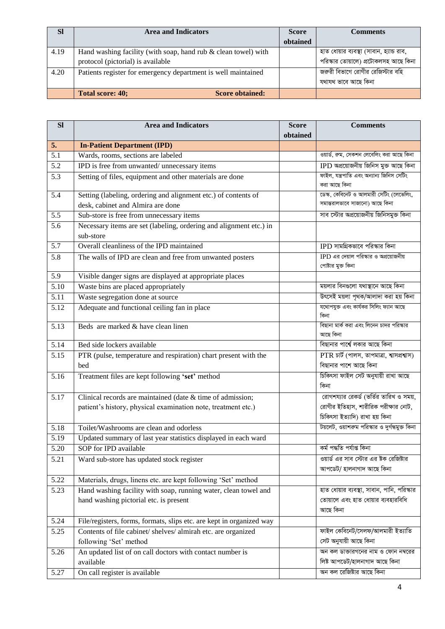| <b>Sl</b> | <b>Area and Indicators</b>                                                                          | <b>Score</b> | <b>Comments</b>                                                                  |
|-----------|-----------------------------------------------------------------------------------------------------|--------------|----------------------------------------------------------------------------------|
|           |                                                                                                     | obtained     |                                                                                  |
| 4.19      | Hand washing facility (with soap, hand rub & clean towel) with<br>protocol (pictorial) is available |              | হাত ধোয়ার ব্যবস্থা (সাবান, হ্যান্ড রাব,<br>পরিস্কার তোয়ালে) প্রটোকলসহ আছে কিনা |
| 4.20      | Patients register for emergency department is well maintained                                       |              | জরুরী বিভাগে রোগীর রেজিস্টার বহি<br>যথাযথ ভাবে আছে কিনা                          |
|           | Total score: 40;<br><b>Score obtained:</b>                                                          |              |                                                                                  |

| <b>Sl</b> | <b>Area and Indicators</b>                                           | <b>Score</b> | <b>Comments</b>                                |
|-----------|----------------------------------------------------------------------|--------------|------------------------------------------------|
|           |                                                                      | obtained     |                                                |
| 5.        | <b>In-Patient Department (IPD)</b>                                   |              |                                                |
| 5.1       | Wards, rooms, sections are labeled                                   |              | ওয়ার্ড, রুম, সেকশন লেবেলিং করা আছে কিনা       |
| 5.2       | IPD is free from unwanted/unnecessary items                          |              | IPD অপ্রয়োজনীয় জিনিস মুক্ত আছে কিনা          |
| 5.3       | Setting of files, equipment and other materials are done             |              | ফাইল, যন্ত্ৰপাতি এবং অন্যান্য জিনিস সেটিং      |
|           |                                                                      |              | করা আছে কিনা                                   |
| 5.4       | Setting (labeling, ordering and alignment etc.) of contents of       |              | ডেস্ক, কেবিনেট ও আলমারী সেটিং (লেভেলিং,        |
|           | desk, cabinet and Almira are done                                    |              | সমান্তরালভাবে সাজানো) আছে কিনা                 |
| 5.5       | Sub-store is free from unnecessary items                             |              | সাব স্টোর অপ্রয়োজনীয় জিনিসমুক্ত কিনা         |
| 5.6       | Necessary items are set (labeling, ordering and alignment etc.) in   |              |                                                |
|           | sub-store                                                            |              |                                                |
| 5.7       | Overall cleanliness of the IPD maintained                            |              | $IPD$ সামগ্রিকভাবে পরিস্কার কিনা               |
| 5.8       | The walls of IPD are clean and free from unwanted posters            |              | $IPD$ এর দেয়াল পরিস্কার ও অপ্রয়োজনীয়        |
|           |                                                                      |              | পোষ্টার মুক্ত কিনা                             |
| 5.9       | Visible danger signs are displayed at appropriate places             |              |                                                |
| 5.10      | Waste bins are placed appropriately                                  |              | ময়লার বিনগুলো যথাস্থানে আছে কিনা              |
| 5.11      | Waste segregation done at source                                     |              | উৎসেই ময়লা পৃথক/আলাদা করা হয় কিনা            |
| 5.12      | Adequate and functional ceiling fan in place                         |              | যথোপযুক্ত এবং কাৰ্যকর সিলিং ফ্যান আছে<br>কিনা  |
| 5.13      | Beds are marked & have clean linen                                   |              | বিছানা মার্ক করা এবং লিনেন চাদর পরিস্কার       |
|           |                                                                      |              | আছে কিনা                                       |
| 5.14      | Bed side lockers available                                           |              | বিছানার পার্শ্বে লকার আছে কিনা                 |
| 5.15      | PTR (pulse, temperature and respiration) chart present with the      |              | $PTR$ চাৰ্ট (পালস, তাপমাত্ৰা, শ্বাসপ্ৰশ্বাস)   |
|           | bed                                                                  |              | বিছানার পাশে আছে কিনা                          |
| 5.16      | Treatment files are kept following 'set' method                      |              | চিকিৎসা ফাইল সেট অনুযায়ী রাখা আছে             |
|           |                                                                      |              | কিনা                                           |
| 5.17      | Clinical records are maintained (date $&$ time of admission;         |              | রোগশয্যার রেকর্ড (ভর্তির তারিখ ও সময়,         |
|           | patient's history, physical examination note, treatment etc.)        |              | রোগীর ইতিহাস, শারীরিক পরীক্ষার নোট,            |
|           |                                                                      |              | চিকিৎসা ইত্যাদি) রাখা হয় কিনা                 |
| 5.18      | Toilet/Washrooms are clean and odorless                              |              | টয়লেট, ওয়াশরুম পরিস্কার ও দুর্গন্ধমুক্ত কিনা |
| 5.19      | Updated summary of last year statistics displayed in each ward       |              |                                                |
| 5.20      | SOP for IPD available                                                |              | কৰ্ম পদ্ধতি পৰ্যাপ্ত কিনা                      |
| 5.21      | Ward sub-store has updated stock register                            |              | ওয়ার্ড এর সাব স্টোর এর ষ্টক রেজিষ্টার         |
|           |                                                                      |              | আপডেট/ হালনাগাদ আছে কিনা                       |
| 5.22      | Materials, drugs, linens etc. are kept following 'Set' method        |              |                                                |
| 5.23      | Hand washing facility with soap, running water, clean towel and      |              | হাত ধোয়ার ব্যবস্থা, সাবান, পানি, পরিস্কার     |
|           | hand washing pictorial etc. is present                               |              | তোয়ালে এবং হাত ধোয়ার ব্যবহারবিধি             |
|           |                                                                      |              | আছে কিনা                                       |
| 5.24      | File/registers, forms, formats, slips etc. are kept in organized way |              |                                                |
| 5.25      | Contents of file cabinet/ shelves/ almirah etc. are organized        |              | ফাইল কেবিনেট/সেলফ/আলমারী ইত্যাতি               |
|           | following 'Set' method                                               |              | সেট অনুযায়ী আছে কিনা                          |
| 5.26      | An updated list of on call doctors with contact number is            |              | অন কল ডাক্তারগনের নাম ও ফোন নম্বরের            |
|           | available                                                            |              | লিষ্ট আপডেট/হালনাগাদ আছে কিনা                  |
| 5.27      | On call register is available                                        |              | অন কল রেজিষ্টার আছে কিনা                       |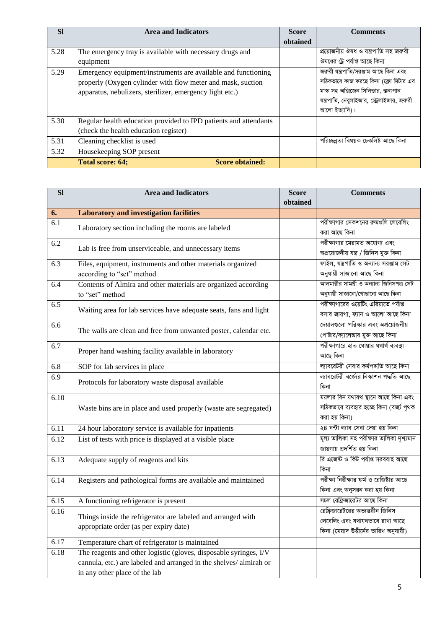| <b>SI</b> | <b>Area and Indicators</b>                                       | <b>Score</b> | <b>Comments</b>                             |
|-----------|------------------------------------------------------------------|--------------|---------------------------------------------|
|           |                                                                  | obtained     |                                             |
| 5.28      | The emergency tray is available with necessary drugs and         |              | প্রয়োজনীয় ঔষধ ও যন্ত্রপাতি সহ জরুরী       |
|           | equipment                                                        |              | ঔষধের ট্রে পর্যাপ্ত আছে কিনা                |
| 5.29      | Emergency equipment/instruments are available and functioning    |              | জরুরী যন্ত্রপাতি/সরঞ্জাম আছে কিনা এবং       |
|           | properly (Oxygen cylinder with flow meter and mask, suction      |              | সঠিকভাবে কাজ করছে কিনা (ফ্লো মিটার এব       |
|           | apparatus, nebulizers, sterilizer, emergency light etc.)         |              | মাস্ক সহ অক্সিজেন সিলিভার, স্তন্যপান        |
|           |                                                                  |              | যন্ত্রপাতি, নেবুলাইজার, স্ট্রেলাইজার, জরুরী |
|           |                                                                  |              | আলো ইত্যাদি)।                               |
| 5.30      | Regular health education provided to IPD patients and attendants |              |                                             |
|           | (check the health education register)                            |              |                                             |
| 5.31      | Cleaning checklist is used                                       |              | পরিচ্ছন্নতা বিষয়ক চেকলিষ্ট আছে কিনা        |
| 5.32      | Housekeeping SOP present                                         |              |                                             |
|           | <b>Score obtained:</b><br><b>Total score: 64;</b>                |              |                                             |

| $\overline{sl}$ | <b>Area and Indicators</b>                                                                                                                                              | <b>Score</b> | <b>Comments</b>                                                                                              |
|-----------------|-------------------------------------------------------------------------------------------------------------------------------------------------------------------------|--------------|--------------------------------------------------------------------------------------------------------------|
|                 |                                                                                                                                                                         | obtained     |                                                                                                              |
| 6.              | <b>Laboratory and investigation facilities</b>                                                                                                                          |              |                                                                                                              |
| 6.1             | Laboratory section including the rooms are labeled                                                                                                                      |              | পরীক্ষাগার সেকশনের রুমগুলি লেবেলিং<br>করা আছে কিনা                                                           |
| 6.2             | Lab is free from unserviceable, and unnecessary items                                                                                                                   |              | পরীক্ষাগার মেরামত অযোগ্য এবং<br>অপ্ৰয়োজনীয় যন্ত্ৰ / জিনিস মুক্ত কিনা                                       |
| 6.3             | Files, equipment, instruments and other materials organized<br>according to "set" method                                                                                |              | ফাইল, যন্ত্রপাতি ও অন্যান্য সরঞ্জাম সেট<br>অনুযায়ী সাজানো আছে কিনা                                          |
| 6.4             | Contents of Almira and other materials are organized according<br>to "set" method                                                                                       |              | আলমারীর সামগ্রী ও অন্যান্য জিনিসপত্র সেট<br>অনুযায়ী সাজানো/গোছানো আছে কিনা                                  |
| 6.5             | Waiting area for lab services have adequate seats, fans and light                                                                                                       |              | পরীক্ষাগারের ওয়েটিং এরিয়াতে পর্যাপ্ত<br>বসার জায়গা, ফ্যান ও আলো আছে কিনা                                  |
| 6.6             | The walls are clean and free from unwanted poster, calendar etc.                                                                                                        |              | দেয়ালগুলো পরিস্কার এবং অপ্রয়োজনীয়<br>পোষ্টার/ক্যালেন্ডার মুক্ত আছে কিনা                                   |
| 6.7             | Proper hand washing facility available in laboratory                                                                                                                    |              | পরীক্ষাগারে হাত ধোয়ার যথার্থ ব্যবস্থা<br>আছে কিনা                                                           |
| 6.8             | SOP for lab services in place                                                                                                                                           |              | ল্যাবরেটরী সেবার কর্মপদ্ধতি আছে কিনা                                                                         |
| 6.9             | Protocols for laboratory waste disposal available                                                                                                                       |              | ল্যাবরেটরী বর্জ্যের নিস্কাশন পদ্ধতি আছে<br>কিনা                                                              |
| 6.10            | Waste bins are in place and used properly (waste are segregated)                                                                                                        |              | ময়লার বিন যথাযথ স্থানে আছে কিনা এবং<br>সঠিকভাবে ব্যবহার হচ্ছে কিনা (বর্জ্য পৃথক<br>করা হয় কিনা)            |
| 6.11            | 24 hour laboratory service is available for inpatients                                                                                                                  |              | ২৪ ঘন্টা ল্যাব সেবা দেয়া হয় কিনা                                                                           |
| 6.12            | List of tests with price is displayed at a visible place                                                                                                                |              | মূল্য তালিকা সহ পরীক্ষার তালিকা দৃশ্যমান<br>জায়গায় প্রদর্শিত হয় কিনা                                      |
| 6.13            | Adequate supply of reagents and kits                                                                                                                                    |              | রি এজেন্ট ও কিট পর্যাপ্ত সরবরাহ আছে<br>কিনা                                                                  |
| 6.14            | Registers and pathological forms are available and maintained                                                                                                           |              | পরীক্ষা নিরীক্ষার ফর্ম ও রেজিষ্টার আছে<br>কিনা এবং অনুসরন করা হয় কিনা                                       |
| 6.15            | A functioning refrigerator is present                                                                                                                                   |              | সচল রেফ্রিজারেটর আছে কিনা                                                                                    |
| 6.16            | Things inside the refrigerator are labeled and arranged with<br>appropriate order (as per expiry date)                                                                  |              | রেফ্রিজারেটরের অভ্যন্তরীন জিনিস<br>লেবেলিং এবং যথাযথভাবে রাখা আছে<br>কিনা (মেয়াদ উত্তীর্নের তারিখ অনুযায়ী) |
| 6.17            | Temperature chart of refrigerator is maintained                                                                                                                         |              |                                                                                                              |
| 6.18            | The reagents and other logistic (gloves, disposable syringes, I/V<br>cannula, etc.) are labeled and arranged in the shelves/almirah or<br>in any other place of the lab |              |                                                                                                              |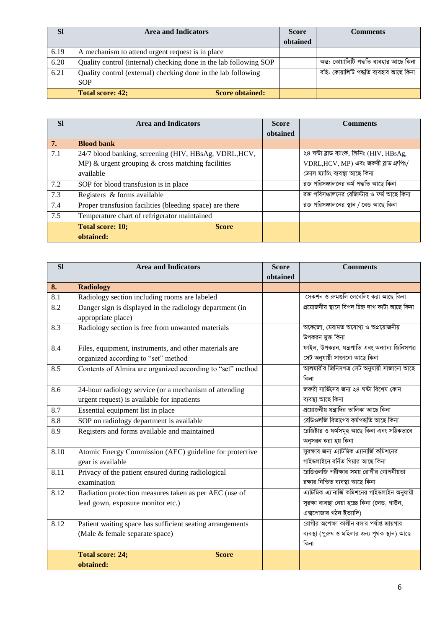| <b>SI</b> | <b>Area and Indicators</b>                                        | <b>Score</b> | <b>Comments</b>                         |
|-----------|-------------------------------------------------------------------|--------------|-----------------------------------------|
|           |                                                                   | obtained     |                                         |
| 6.19      | A mechanism to attend urgent request is in place                  |              |                                         |
| 6.20      | Quality control (internal) checking done in the lab following SOP |              | অন্ত: কোয়ালিটি পদ্ধতি ব্যবহার আছে কিনা |
| 6.21      | Quality control (external) checking done in the lab following     |              | বহি: কোয়ালিটি পদ্ধতি ব্যবহার আছে কিনা  |
|           | <b>SOP</b>                                                        |              |                                         |
|           | Total score: 42;<br><b>Score obtained:</b>                        |              |                                         |

| <b>SI</b> | <b>Area and Indicators</b>                               | <b>Score</b> | <b>Comments</b>                               |
|-----------|----------------------------------------------------------|--------------|-----------------------------------------------|
|           |                                                          | obtained     |                                               |
| 7.        | <b>Blood bank</b>                                        |              |                                               |
| 7.1       | 24/7 blood banking, screening (HIV, HBsAg, VDRL, HCV,    |              | ২৪ ঘন্টা ব্লাড ব্যাংক, স্ক্রিনিং (HIV, HBsAg, |
|           | MP) $\&$ urgent grouping $\&$ cross matching facilities  |              | $VDRL,HCV, MP)$ এবং জরুরী ব্লাড গ্রুপিং/      |
|           | available                                                |              | ক্ৰোস ম্যাচিং ব্যবস্থা আছে কিনা               |
| 7.2       | SOP for blood transfusion is in place                    |              | রক্ত পরিসঞ্চালনের কর্ম পদ্ধতি আছে কিনা        |
| 7.3       | Registers & forms available                              |              | রক্ত পরিসঞ্চালনের রেজিস্টার ও ফর্ম আছে কিনা   |
| 7.4       | Proper transfusion facilities (bleeding space) are there |              | রক্ত পরিসঞ্চালনের স্থান / বেড আছে কিনা        |
| 7.5       | Temperature chart of refrigerator maintained             |              |                                               |
|           | <b>Total score: 10;</b><br><b>Score</b>                  |              |                                               |
|           | obtained:                                                |              |                                               |

| <b>Sl</b> | <b>Area and Indicators</b>                                 | <b>Score</b> | <b>Comments</b>                                 |
|-----------|------------------------------------------------------------|--------------|-------------------------------------------------|
|           |                                                            | obtained     |                                                 |
| 8.        | <b>Radiology</b>                                           |              |                                                 |
| 8.1       | Radiology section including rooms are labeled              |              | সেকশন ও রুমগুলি লেবেলিং করা আছে কিনা            |
| 8.2       | Danger sign is displayed in the radiology department (in   |              | প্ৰয়োজনীয় স্থানে বিপদ চিহ্ন দাগ কাটা আছে কিনা |
|           | appropriate place)                                         |              |                                                 |
| 8.3       | Radiology section is free from unwanted materials          |              | অকেজো, মেরামত অযোগ্য ও অপ্রয়োজনীয়             |
|           |                                                            |              | উপকরন মুক্ত কিনা                                |
| 8.4       | Files, equipment, instruments, and other materials are     |              | ফাইল, উপকরন, যন্ত্রপাতি এবং অন্যান্য জিনিসপত্র  |
|           | organized according to "set" method                        |              | সেট অনুযায়ী সাজানো আছে কিনা                    |
| 8.5       | Contents of Almira are organized according to "set" method |              | আলমারীর জিনিসপত্র সেট অনুযায়ী সাজানো আছে       |
|           |                                                            |              | কিনা                                            |
| 8.6       | 24-hour radiology service (or a mechanism of attending     |              | জরুরী সার্ভিসের জন্য ২৪ ঘন্টা বিশেষ কোন         |
|           | urgent request) is available for inpatients                |              | ব্যবস্থা আছে কিনা                               |
| 8.7       | Essential equipment list in place                          |              | প্রয়োজনীয় যন্ত্রাদির তালিকা আছে কিনা          |
| 8.8       | SOP on radiology department is available                   |              | রেডিওলজি বিভাগের কর্মপদ্ধতি আছে কিনা            |
| 8.9       | Registers and forms available and maintained               |              | রেজিষ্টার ও ফর্মসমূহ আছে কিনা এবং সঠিকভাবে      |
|           |                                                            |              | অনুসরন করা হয় কিনা                             |
| 8.10      | Atomic Energy Commission (AEC) guideline for protective    |              | সুরক্ষার জন্য এ্যাটমিক এ্যানার্জি কমিশনের       |
|           | gear is available                                          |              | গাইডলাইনে বৰ্নিত গিয়ার আছে কিনা                |
| 8.11      | Privacy of the patient ensured during radiological         |              | রেডিওলজি পরীক্ষার সময় রোগীর গোপনীয়তা          |
|           | examination                                                |              | রক্ষার নিশ্চিত ব্যবস্থা আছে কিনা                |
| 8.12      | Radiation protection measures taken as per AEC (use of     |              | এ্যাটমিক এ্যানার্জি কমিশনের গাইডলাইন অনুযায়ী   |
|           | lead gown, exposure monitor etc.)                          |              | সুরক্ষা ব্যবস্থা নেয়া হচ্ছে কিনা (লেড, গাউন,   |
|           |                                                            |              | এক্সপোজার গঠন ইত্যাদি)                          |
| 8.12      | Patient waiting space has sufficient seating arrangements  |              | রোগীর অপেক্ষা কালীন বসার পর্যাপ্ত জায়গার       |
|           | (Male & female separate space)                             |              | ব্যবস্থা (পুরুষ ও মহিলার জন্য পৃথক স্থান) আছে   |
|           |                                                            |              | কিনা                                            |
|           | <b>Total score: 24;</b><br><b>Score</b>                    |              |                                                 |
|           | obtained:                                                  |              |                                                 |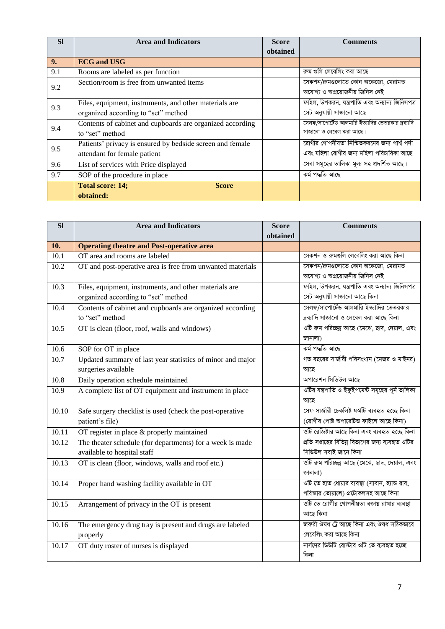| <b>SI</b> | <b>Area and Indicators</b>                                | <b>Score</b> | <b>Comments</b>                                  |
|-----------|-----------------------------------------------------------|--------------|--------------------------------------------------|
|           |                                                           | obtained     |                                                  |
| 9.        | <b>ECG</b> and USG                                        |              |                                                  |
| 9.1       | Rooms are labeled as per function                         |              | রুম গুলি লেবেলিং করা আছে                         |
| 9.2       | Section/room is free from unwanted items                  |              | সেকশন/রুমগুলোতে কোন অকেজো, মেরামত                |
|           |                                                           |              | অযোগ্য ও অপ্রয়োজনীয় জিনিস নেই                  |
| 9.3       | Files, equipment, instruments, and other materials are    |              | ফাইল, উপকরন, যন্ত্রপাতি এবং অন্যান্য জিনিসপত্র   |
|           | organized according to "set" method                       |              | সেট অনুযায়ী সাজানো আছে                          |
| 9.4       | Contents of cabinet and cupboards are organized according |              | সেলফ/সাপোর্টেড আলমারি ইত্যাদির ভেতরকার দ্রব্যাদি |
|           | to "set" method                                           |              | সাজানো ও লেবেল করা আছে।                          |
| 9.5       | Patients' privacy is ensured by bedside screen and female |              | রোগীর গোপনীয়তা নিশ্চিতকরনের জন্য পার্শ্ব পর্দা  |
|           | attendant for female patient                              |              | এবং মহিলা রোগীর জন্য মহিলা পরিচারিকা আছে।        |
| 9.6       | List of services with Price displayed                     |              | সেবা সমূহের তালিকা মূল্য সহ প্রদর্শিত আছে।       |
| 9.7       | SOP of the procedure in place                             |              | কৰ্ম পদ্ধতি আছে                                  |
|           | <b>Total score: 14;</b><br><b>Score</b>                   |              |                                                  |
|           | obtained:                                                 |              |                                                  |

| <b>Sl</b>         | <b>Area and Indicators</b>                                 | <b>Score</b> | <b>Comments</b>                                  |
|-------------------|------------------------------------------------------------|--------------|--------------------------------------------------|
|                   |                                                            | obtained     |                                                  |
| 10.               | <b>Operating theatre and Post-operative area</b>           |              |                                                  |
| $\overline{10.1}$ | OT area and rooms are labeled                              |              | সেকশন ও রুমগুলি লেবেলিং করা আছে কিনা             |
| 10.2              | OT and post-operative area is free from unwanted materials |              | সেকশন/রুমগুলোতে কোন অকেজো, মেরামত                |
|                   |                                                            |              | অযোগ্য ও অপ্রয়োজনীয় জিনিস নেই                  |
| 10.3              | Files, equipment, instruments, and other materials are     |              | ফাইল, উপকরন, যন্ত্রপাতি এবং অন্যান্য জিনিসপত্র   |
|                   | organized according to "set" method                        |              | সেট অনুযায়ী সাজানো আছে কিনা                     |
| 10.4              | Contents of cabinet and cupboards are organized according  |              | সেলফ/সাপোর্টেড আলমারি ইত্যাদির ভেতরকার           |
|                   | to "set" method                                            |              | দ্রব্যাদি সাজানো ও লেবেল করা আছে কিনা            |
| 10.5              | OT is clean (floor, roof, walls and windows)               |              | ওটি রুম পরিচ্ছন্ন আছে (মেঝে, ছাদ, দেয়াল, এবং    |
|                   |                                                            |              | জানালা)                                          |
| 10.6              | SOP for OT in place                                        |              | কৰ্ম পদ্ধতি আছে                                  |
| 10.7              | Updated summary of last year statistics of minor and major |              | গত বছরের সার্জারী পরিসংখ্যন (মেজর ও মাইনর)       |
|                   | surgeries available                                        |              | আছে                                              |
| $\overline{10.8}$ | Daily operation schedule maintained                        |              | অপারেশন সিডিউল আছে                               |
| 10.9              | A complete list of OT equipment and instrument in place    |              | ওটির যন্ত্রপাতি ও ইকুইপমেন্ট সমূহের পূর্ন তালিকা |
|                   |                                                            |              | আছে                                              |
| 10.10             | Safe surgery checklist is used (check the post-operative   |              | সেফ সাৰ্জারী চেকলিষ্ট ফর্মটি ব্যবহৃত হচ্ছে কিনা  |
|                   | patient's file)                                            |              | (রোগীর পোষ্ট অপারেটিভ ফাইলে আছে কিনা)            |
| 10.11             | OT register in place & properly maintained                 |              | ওটি রেজিষ্টার আছে কিনা এবং ব্যবহৃত হচ্ছে কিনা    |
| 10.12             | The theater schedule (for departments) for a week is made  |              | প্রতি সপ্তাহের বিভিন্ন বিভাগের জন্য ব্যবহৃত ওটির |
|                   | available to hospital staff                                |              | সিডিউল সবাই জানে কিনা                            |
| 10.13             | OT is clean (floor, windows, walls and roof etc.)          |              | ওটি রুম পরিচ্ছন্ন আছে (মেঝে, ছাদ, দেয়াল, এবং    |
|                   |                                                            |              | জানালা)                                          |
| 10.14             | Proper hand washing facility available in OT               |              | ওটি তে হাত ধোয়ার ব্যবস্থা (সাবান, হ্যান্ড রাব,  |
|                   |                                                            |              | পরিস্কার তোয়ালে) প্রটোকলসহ আছে কিনা             |
| 10.15             | Arrangement of privacy in the OT is present                |              | ওটি তে রোগীর গোপনীয়তা বজায় রাখার ব্যবস্থা      |
|                   |                                                            |              | আছে কিনা                                         |
| 10.16             | The emergency drug tray is present and drugs are labeled   |              | জরুরী ঔষধ ট্রে আছে কিনা এবং ঔষধ সঠিকভাবে         |
|                   | properly                                                   |              | লেবেলিং করা আছে কিনা                             |
| 10.17             | OT duty roster of nurses is displayed                      |              | নার্সদের ডিউটি রোস্টার ওটি তে ব্যবহৃত হচ্ছে      |
|                   |                                                            |              | কিনা                                             |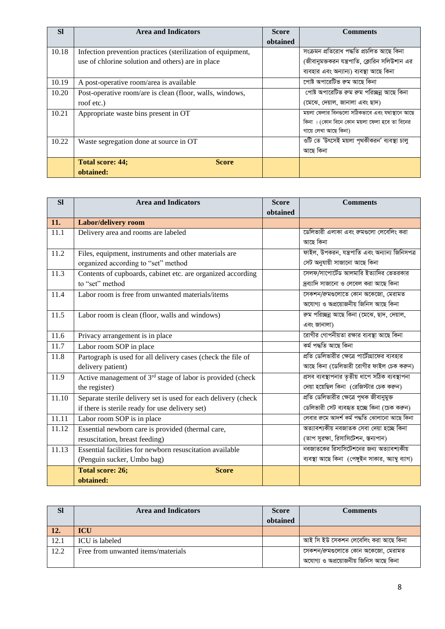| <b>SI</b> | <b>Area and Indicators</b>                                  | <b>Score</b> | <b>Comments</b>                                |
|-----------|-------------------------------------------------------------|--------------|------------------------------------------------|
|           |                                                             | obtained     |                                                |
| 10.18     | Infection prevention practices (sterilization of equipment, |              | সংক্ৰমন প্ৰতিরোধ পদ্ধতি প্ৰচলিত আছে কিনা       |
|           | use of chlorine solution and others) are in place           |              | (জীবানুমক্তকরন যন্ত্রপাতি, ক্লোরিন সলিউশান এর  |
|           |                                                             |              | ব্যবহার এবং অন্যান্য) ব্যবস্থা আছে কিনা        |
| 10.19     | A post-operative room/area is available                     |              | পোষ্ট অপারেটিভ রুম আছে কিনা                    |
| 10.20     | Post-operative room/are is clean (floor, walls, windows,    |              | পোষ্ট অপারেটিভ রুম রুম পরিচ্ছন্ন আছে কিনা      |
|           | roof etc.)                                                  |              | (মেঝে, দেয়াল, জানালা এবং ছাদ)                 |
| 10.21     | Appropriate waste bins present in OT                        |              | ময়লা ফেলার বিনগুলো সঠিকভাবে এবং যথাস্থানে আছে |
|           |                                                             |              | কিনা । (কোন বিনে কোন ময়লা ফেলা হবে তা বিনের   |
|           |                                                             |              | গায়ে লেখা আছে কিনা)                           |
| 10.22     | Waste segregation done at source in OT                      |              | ওটি তে 'উৎসেই ময়লা পৃথকীকরন' ব্যবস্থা চালু    |
|           |                                                             |              | আছে কিনা                                       |
|           | <b>Total score: 44;</b><br><b>Score</b>                     |              |                                                |
|           | obtained:                                                   |              |                                                |

| <b>SI</b> | <b>Area and Indicators</b>                                             | <b>Score</b> | <b>Comments</b>                                    |
|-----------|------------------------------------------------------------------------|--------------|----------------------------------------------------|
|           |                                                                        | obtained     |                                                    |
| 11.       | Labor/delivery room                                                    |              |                                                    |
| 11.1      | Delivery area and rooms are labeled                                    |              | ডেলিভারী এলাকা এবং রুমগুলো লেবেলিং করা             |
|           |                                                                        |              | আছে কিনা                                           |
| 11.2      | Files, equipment, instruments and other materials are                  |              | ফাইল, উপকরন, যন্ত্রপাতি এবং অন্যান্য জিনিসপত্র     |
|           | organized according to "set" method                                    |              | সেট অনুযায়ী সাজানো আছে কিনা                       |
| 11.3      | Contents of cupboards, cabinet etc. are organized according            |              | সেলফ/সাপোর্টেড আলমারি ইত্যাদির ভেতরকার             |
|           | to "set" method                                                        |              | দ্রব্যাদি সাজানো ও লেবেল করা আছে কিনা              |
| 11.4      | Labor room is free from unwanted materials/items                       |              | সেকশন/রুমগুলোতে কোন অকেজো, মেরামত                  |
|           |                                                                        |              | অযোগ্য ও অপ্রয়োজনীয় জিনিস আছে কিনা               |
| 11.5      | Labor room is clean (floor, walls and windows)                         |              | রুম পরিচ্ছন্ন আছে কিনা (মেঝে, ছাদ, দেয়াল,         |
|           |                                                                        |              | এবং জানালা)                                        |
| 11.6      | Privacy arrangement is in place                                        |              | রোগীর গোপনীয়তা রক্ষার ব্যবস্থা আছে কিনা           |
| 11.7      | Labor room SOP in place                                                |              | কৰ্ম পদ্ধতি আছে কিনা                               |
| 11.8      | Partograph is used for all delivery cases (check the file of           |              | প্রতি ডেলিভারীর ক্ষেত্রে পার্টেগ্রাফের ব্যবহার     |
|           | delivery patient)                                                      |              | আছে কিনা (ডেলিভারী রোগীর ফাইল চেক করুন)            |
| 11.9      | Active management of 3 <sup>rd</sup> stage of labor is provided (check |              | প্ৰসব ব্যবস্থাপনার তৃতীয় ধাপে সঠিক ব্যবস্থাপনা    |
|           | the register)                                                          |              | দেয়া হয়েছিল কিনা (রেজিস্টার চেক করুন)            |
| 11.10     | Separate sterile delivery set is used for each delivery (check         |              | প্রতি ডেলিভারীর ক্ষেত্রে পৃথক জীবানুমুক্ত          |
|           | if there is sterile ready for use delivery set)                        |              | ডেলিভারী সেট ব্যবহৃত হচ্ছে কিনা (চেক করুন)         |
| 11.11     | Labor room SOP is in place                                             |              | লেবার রুমে আদর্শ কর্ম পদ্ধতি ঝোলানো আছে কিনা       |
| 11.12     | Essential newborn care is provided (thermal care,                      |              | অত্যাবশ্যকীয় নবজাতক সেবা দেয়া হচ্ছে কিনা         |
|           | resuscitation, breast feeding)                                         |              | (তাপ সুরক্ষা, রিসাসিটেশন, স্তন্যপান)               |
| 11.13     | Essential facilities for newborn resuscitation available               |              | নবজাতকের রিসাসিটেশনের জন্য অত্যাবশ্যকীয়           |
|           | (Penguin sucker, Umbo bag)                                             |              | ব্যবস্থা আছে কিনা (পেঙ্গুইন সাকার, অ্যাম্বু ব্যাগ) |
|           | <b>Total score: 26;</b><br><b>Score</b>                                |              |                                                    |
|           | obtained:                                                              |              |                                                    |

| Sl   | <b>Area and Indicators</b>         | <b>Score</b> | <b>Comments</b>                      |
|------|------------------------------------|--------------|--------------------------------------|
|      |                                    | obtained     |                                      |
| 12.  | <b>ICU</b>                         |              |                                      |
| 12.1 | <b>ICU</b> is labeled              |              | আই সি ইউ সেকশন লেবেলিং করা আছে কিনা  |
| 12.2 | Free from unwanted items/materials |              | সেকশন/রুমগুলোতে কোন অকেজো, মেরামত    |
|      |                                    |              | অযোগ্য ও অপ্রয়োজনীয় জিনিস আছে কিনা |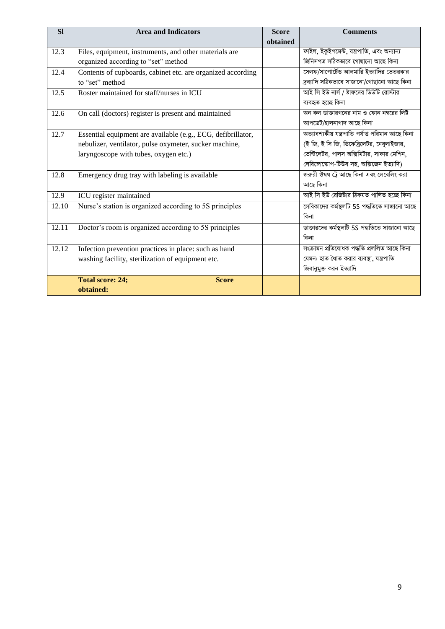| <b>SI</b> | <b>Area and Indicators</b>                                   | <b>Score</b> | <b>Comments</b>                                   |
|-----------|--------------------------------------------------------------|--------------|---------------------------------------------------|
|           |                                                              | obtained     |                                                   |
| 12.3      | Files, equipment, instruments, and other materials are       |              | ফাইল, ইকুইপমেন্ট, যন্ত্ৰপাতি, এবং অন্যান্য        |
|           | organized according to "set" method                          |              | জিনিসপত্র সঠিকভাবে গোছানো আছে কিনা                |
| 12.4      | Contents of cupboards, cabinet etc. are organized according  |              | সেলফ/সাপোর্টেড আলমারি ইত্যাদির ভেতরকার            |
|           | to "set" method                                              |              | দ্ৰব্যাদি সঠিকভাবে সাজানো/গোছানো আছে কিনা         |
| 12.5      | Roster maintained for staff/nurses in ICU                    |              | আই সি ইউ নার্স / ষ্টাফদের ডিউটি রোস্টার           |
|           |                                                              |              | ব্যবহৃত হচ্ছে কিনা                                |
| 12.6      | On call (doctors) register is present and maintained         |              | অন কল ডাক্তারগনের নাম ও ফোন নম্বরের লিষ্ট         |
|           |                                                              |              | আপডেট/হালনাগাদ আছে কিনা                           |
| 12.7      | Essential equipment are available (e.g., ECG, defibrillator, |              | অত্যাবশ্যকীয় যন্ত্ৰপাতি পৰ্যাপ্ত পৱিমান আছে কিনা |
|           | nebulizer, ventilator, pulse oxymeter, sucker machine,       |              | (ই জি, ই সি জি, ডিফেব্রিলেটর, নেবুলাইজার,         |
|           | laryngoscope with tubes, oxygen etc.)                        |              | ভেন্টিলেটর, পালস অক্সিমিটার, সাকার মেশিন,         |
|           |                                                              |              | লেরিঙ্গোস্কোপ-টিউব সহ, অক্সিজেন ইত্যাদি)          |
| 12.8      | Emergency drug tray with labeling is available               |              | জরুরী ঔষধ ট্রে আছে কিনা এবং লেবেলিং করা           |
|           |                                                              |              | আছে কিনা                                          |
| 12.9      | ICU register maintained                                      |              | আই সি ইউ রেজিষ্টার ঠিকমত পালিত হচ্ছে কিনা         |
| 12.10     | Nurse's station is organized according to 5S principles      |              | সেবিকাদের কর্মস্থলটি 5S পদ্ধতিতে সাজানো আছে       |
|           |                                                              |              | কিনা                                              |
| 12.11     | Doctor's room is organized according to 5S principles        |              | ডাক্তারদের কর্মস্থলটি 5S পদ্ধতিতে সাজানো আছে      |
|           |                                                              |              | কিনা                                              |
| 12.12     | Infection prevention practices in place: such as hand        |              | সংক্ৰামন প্ৰতিষোধক পদ্ধতি প্ৰললিত আছে কিনা        |
|           | washing facility, sterilization of equipment etc.            |              | যেমন: হাত ধোত করার ব্যবস্থা, যন্ত্রপাতি           |
|           |                                                              |              | জিবানুমুক্ত করন ইত্যাদি                           |
|           | <b>Total score: 24;</b><br><b>Score</b>                      |              |                                                   |
|           | obtained:                                                    |              |                                                   |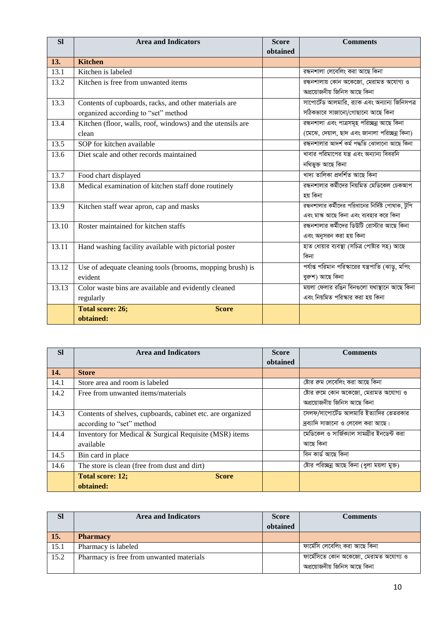| SI    | <b>Area and Indicators</b>                                 | <b>Score</b><br>obtained | <b>Comments</b>                                    |
|-------|------------------------------------------------------------|--------------------------|----------------------------------------------------|
| 13.   | <b>Kitchen</b>                                             |                          |                                                    |
| 13.1  | Kitchen is labeled                                         |                          | রন্ধনশালা লেবেলিং করা আছে কিনা                     |
| 13.2  | Kitchen is free from unwanted items                        |                          | রন্ধনশালায় কোন অকেজো, মেরামত অযোগ্য ও             |
|       |                                                            |                          | অপ্রয়োজনীয় জিনিস আছে কিনা                        |
| 13.3  | Contents of cupboards, racks, and other materials are      |                          | সাপোর্টেড আলমারি, র্যাক এবং অন্যান্য জিনিসপত্র     |
|       | organized according to "set" method                        |                          | সঠিকভাবে সাজানো/গোছানো আছে কিনা                    |
| 13.4  | Kitchen (floor, walls, roof, windows) and the utensils are |                          | রন্ধনশালা এবং পাত্রসমূহ পরিচ্ছন্ন আছে কিনা         |
|       | clean                                                      |                          | (মেঝে, দেয়াল, ছাদ এবং জানালা পরিচ্ছন্ন কিনা)      |
| 13.5  | SOP for kitchen available                                  |                          | রন্ধনশালার আদর্শ কর্ম পদ্ধতি ঝোলানো আছে কিনা       |
| 13.6  | Diet scale and other records maintained                    |                          | খাবার পরিমাপের যন্ত্র এবং অন্যান্য বিবরনি          |
|       |                                                            |                          | নথিভুক্ত আছে কিনা                                  |
| 13.7  | Food chart displayed                                       |                          | খাদ্য তালিকা প্ৰদৰ্শিত আছে কিনা                    |
| 13.8  | Medical examination of kitchen staff done routinely        |                          | রন্ধনশালার কর্মীদের নিয়মিত মেডিকেল চেকআপ          |
|       |                                                            |                          | হয় কিনা                                           |
| 13.9  | Kitchen staff wear apron, cap and masks                    |                          | রন্ধনশালার কর্মীদের পরিধানের নির্দিষ্ট পোষাক, টুপি |
|       |                                                            |                          | এবং মাস্ক আছে কিনা এবং ব্যবহার করে কিনা            |
| 13.10 | Roster maintained for kitchen staffs                       |                          | রন্ধনশালার কর্মীদের ডিউটি রোস্টার আছে কিনা         |
|       |                                                            |                          | এবং অনুসরন করা হয় কিনা                            |
| 13.11 | Hand washing facility available with pictorial poster      |                          | হাত ধোয়ার ব্যবস্থা (সচিত্র পোষ্টার সহ) আছে        |
|       |                                                            |                          | কিনা                                               |
| 13.12 | Use of adequate cleaning tools (brooms, mopping brush) is  |                          | পর্যাপ্ত পরিমান পরিস্কারের যন্ত্রপাতি (ঝাড়ু, মপিং |
|       | evident                                                    |                          | বুরুশ) আছে কিনা                                    |
| 13.13 | Color waste bins are available and evidently cleaned       |                          | ময়লা ফেলার রঙিন বিনগুলো যথাস্থানে আছে কিনা        |
|       | regularly                                                  |                          | এবং নিয়মিত পরিস্কার করা হয় কিনা                  |
|       | <b>Total score: 26;</b><br><b>Score</b>                    |                          |                                                    |
|       | obtained:                                                  |                          |                                                    |

| <b>SI</b> | <b>Area and Indicators</b>                                 | <b>Score</b> | <b>Comments</b>                             |
|-----------|------------------------------------------------------------|--------------|---------------------------------------------|
|           |                                                            | obtained     |                                             |
| 14.       | <b>Store</b>                                               |              |                                             |
| 14.1      | Store area and room is labeled                             |              | ষ্টোর রুম লেবেলিং করা আছে কিনা              |
| 14.2      | Free from unwanted items/materials                         |              | ষ্টোর রুমে কোন অকেজো, মেরামত অযোগ্য ও       |
|           |                                                            |              | অপ্রয়োজনীয় জিনিস আছে কিনা                 |
| 14.3      | Contents of shelves, cupboards, cabinet etc. are organized |              | সেলফ/সাপোর্টেড আলমারি ইত্যাদির ভেতরকার      |
|           | according to "set" method                                  |              | দ্রব্যাদি সাজানো ও লেবেল করা আছে।           |
| 14.4      | Inventory for Medical & Surgical Requisite (MSR) items     |              | মেডিকেল ও সার্জিক্যাল সামগ্রীর ইনডেন্ট করা  |
|           | available                                                  |              | আছে কিনা                                    |
| 14.5      | Bin card in place                                          |              | বিন কাৰ্ড আছে কিনা                          |
| 14.6      | The store is clean (free from dust and dirt)               |              | ষ্টোর পরিচ্ছন্ন আছে কিনা (ধুলা ময়লা মুক্ত) |
|           | <b>Total score: 12;</b><br><b>Score</b>                    |              |                                             |
|           | obtained:                                                  |              |                                             |

| <b>SI</b> | <b>Area and Indicators</b>               | <b>Score</b> | <b>Comments</b>                       |
|-----------|------------------------------------------|--------------|---------------------------------------|
|           |                                          | obtained     |                                       |
| 15.       | <b>Pharmacy</b>                          |              |                                       |
| 15.1      | Pharmacy is labeled                      |              | ফাৰ্মেসি লেবেলিং করা আছে কিনা         |
| 15.2      | Pharmacy is free from unwanted materials |              | ফার্মেসিতে কোন অকেজো, মেরামত অযোগ্য ও |
|           |                                          |              | অপ্রয়োজনীয় জিনিস আছে কিনা           |